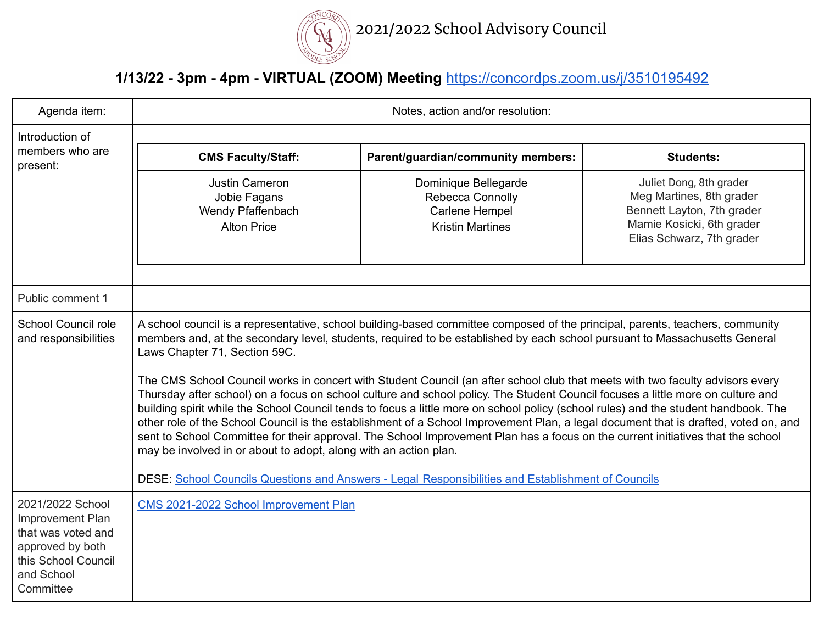

## **1/13/22 - 3pm - 4pm - VIRTUAL (ZOOM) Meeting** <https://concordps.zoom.us/j/3510195492>

| Agenda item:                                                                                                                            | Notes, action and/or resolution:                                                                                                                                                                                                                                                                                                                                                                                                                                                                                                                                                                                                                                                                                                                                                                                                                                                                                                                                                                                                                                                                                                                            |                                                                                       |                                                                                                                                             |
|-----------------------------------------------------------------------------------------------------------------------------------------|-------------------------------------------------------------------------------------------------------------------------------------------------------------------------------------------------------------------------------------------------------------------------------------------------------------------------------------------------------------------------------------------------------------------------------------------------------------------------------------------------------------------------------------------------------------------------------------------------------------------------------------------------------------------------------------------------------------------------------------------------------------------------------------------------------------------------------------------------------------------------------------------------------------------------------------------------------------------------------------------------------------------------------------------------------------------------------------------------------------------------------------------------------------|---------------------------------------------------------------------------------------|---------------------------------------------------------------------------------------------------------------------------------------------|
| Introduction of<br>members who are<br>present:                                                                                          |                                                                                                                                                                                                                                                                                                                                                                                                                                                                                                                                                                                                                                                                                                                                                                                                                                                                                                                                                                                                                                                                                                                                                             |                                                                                       |                                                                                                                                             |
|                                                                                                                                         | <b>CMS Faculty/Staff:</b>                                                                                                                                                                                                                                                                                                                                                                                                                                                                                                                                                                                                                                                                                                                                                                                                                                                                                                                                                                                                                                                                                                                                   | Parent/guardian/community members:                                                    | <b>Students:</b>                                                                                                                            |
|                                                                                                                                         | <b>Justin Cameron</b><br>Jobie Fagans<br>Wendy Pfaffenbach<br><b>Alton Price</b>                                                                                                                                                                                                                                                                                                                                                                                                                                                                                                                                                                                                                                                                                                                                                                                                                                                                                                                                                                                                                                                                            | Dominique Bellegarde<br>Rebecca Connolly<br>Carlene Hempel<br><b>Kristin Martines</b> | Juliet Dong, 8th grader<br>Meg Martines, 8th grader<br>Bennett Layton, 7th grader<br>Mamie Kosicki, 6th grader<br>Elias Schwarz, 7th grader |
| Public comment 1                                                                                                                        |                                                                                                                                                                                                                                                                                                                                                                                                                                                                                                                                                                                                                                                                                                                                                                                                                                                                                                                                                                                                                                                                                                                                                             |                                                                                       |                                                                                                                                             |
| <b>School Council role</b><br>and responsibilities                                                                                      | A school council is a representative, school building-based committee composed of the principal, parents, teachers, community<br>members and, at the secondary level, students, required to be established by each school pursuant to Massachusetts General<br>Laws Chapter 71, Section 59C.<br>The CMS School Council works in concert with Student Council (an after school club that meets with two faculty advisors every<br>Thursday after school) on a focus on school culture and school policy. The Student Council focuses a little more on culture and<br>building spirit while the School Council tends to focus a little more on school policy (school rules) and the student handbook. The<br>other role of the School Council is the establishment of a School Improvement Plan, a legal document that is drafted, voted on, and<br>sent to School Committee for their approval. The School Improvement Plan has a focus on the current initiatives that the school<br>may be involved in or about to adopt, along with an action plan.<br>DESE: School Councils Questions and Answers - Legal Responsibilities and Establishment of Councils |                                                                                       |                                                                                                                                             |
| 2021/2022 School<br><b>Improvement Plan</b><br>that was voted and<br>approved by both<br>this School Council<br>and School<br>Committee | CMS 2021-2022 School Improvement Plan                                                                                                                                                                                                                                                                                                                                                                                                                                                                                                                                                                                                                                                                                                                                                                                                                                                                                                                                                                                                                                                                                                                       |                                                                                       |                                                                                                                                             |